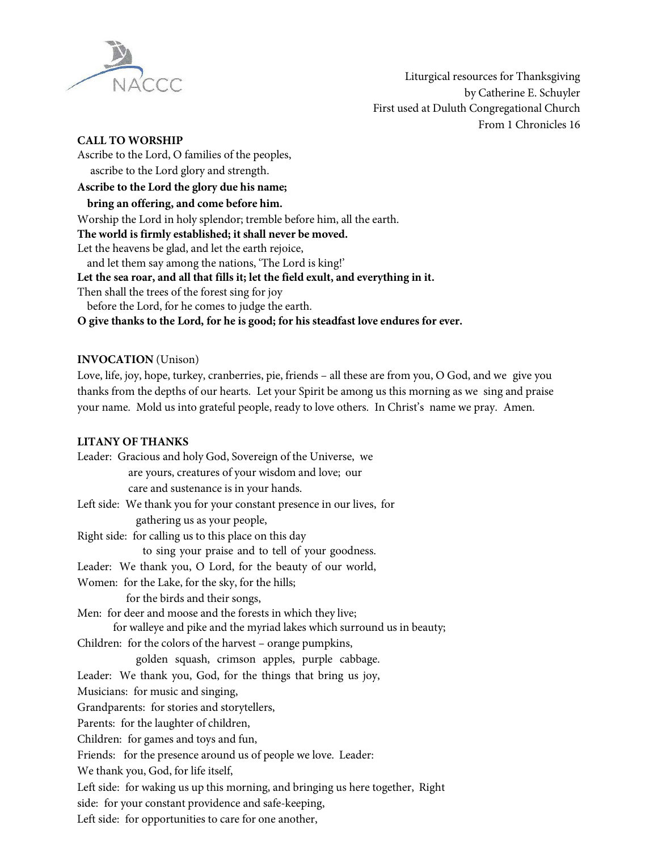

Liturgical resources for Thanksgiving by Catherine E. Schuyler First used at Duluth Congregational Church From 1 Chronicles 16

### **CALL TO WORSHIP**

Ascribe to the Lord, O families of the peoples,

ascribe to the Lord glory and strength.

## **Ascribe to the Lord the glory due his name;**

**bring an offering, and come before him.**

Worship the Lord in holy splendor; tremble before him, all the earth.

**The world is firmly established; it shall never be moved.**

Let the heavens be glad, and let the earth rejoice,

and let them say among the nations, 'The Lord is king!'

**Let the sea roar, and all that fills it; let the field exult, and everything in it.**

Then shall the trees of the forest sing for joy

before the Lord, for he comes to judge the earth.

**O give thanks to the Lord, for he is good; for his steadfast love endures for ever.**

### **INVOCATION** (Unison)

Love, life, joy, hope, turkey, cranberries, pie, friends – all these are from you, O God, and we give you thanks from the depths of our hearts. Let your Spirit be among us this morning as we sing and praise your name. Mold us into grateful people, ready to love others. In Christ's name we pray. Amen.

#### **LITANY OF THANKS**

Leader: Gracious and holy God, Sovereign of the Universe, we are yours, creatures of your wisdom and love; our care and sustenance is in your hands. Left side: We thank you for your constant presence in our lives, for gathering us as your people, Right side: for calling us to this place on this day to sing your praise and to tell of your goodness. Leader: We thank you, O Lord, for the beauty of our world, Women: for the Lake, for the sky, for the hills; for the birds and their songs, Men: for deer and moose and the forests in which they live; for walleye and pike and the myriad lakes which surround us in beauty; Children: for the colors of the harvest – orange pumpkins, golden squash, crimson apples, purple cabbage. Leader: We thank you, God, for the things that bring us joy, Musicians: for music and singing, Grandparents: for stories and storytellers, Parents: for the laughter of children, Children: for games and toys and fun, Friends: for the presence around us of people we love. Leader: We thank you, God, for life itself, Left side: for waking us up this morning, and bringing us here together, Right side: for your constant providence and safe-keeping, Left side: for opportunities to care for one another,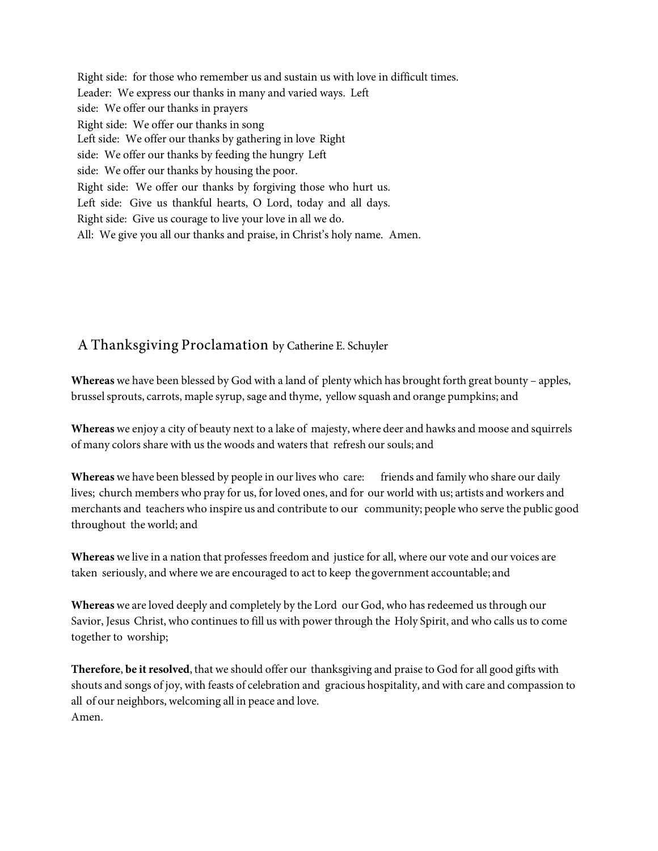Right side: for those who remember us and sustain us with love in difficult times. Leader: We express our thanks in many and varied ways. Left side: We offer our thanks in prayers Right side: We offer our thanks in song Left side: We offer our thanks by gathering in love Right side: We offer our thanks by feeding the hungry Left side: We offer our thanks by housing the poor. Right side: We offer our thanks by forgiving those who hurt us. Left side: Give us thankful hearts, O Lord, today and all days. Right side: Give us courage to live your love in all we do. All: We give you all our thanks and praise, in Christ's holy name. Amen.

# A Thanksgiving Proclamation by Catherine E. Schuyler

**Whereas** we have been blessed by God with a land of plenty which has brought forth great bounty – apples, brussel sprouts, carrots, maple syrup, sage and thyme, yellow squash and orange pumpkins; and

**Whereas** we enjoy a city of beauty next to a lake of majesty, where deer and hawks and moose and squirrels of many colors share with us the woods and waters that refresh oursouls; and

Whereas we have been blessed by people in our lives who care: friends and family who share our daily lives; church members who pray for us, for loved ones, and for our world with us; artists and workers and merchants and teachers who inspire us and contribute to our community; peoplewho serve the public good throughout the world; and

**Whereas** we live in a nation that professesfreedom and justice for all, where our vote and our voices are taken seriously, and where we are encouraged to act to keep the government accountable; and

**Whereas**we are loved deeply and completely by the Lord our God, who has redeemed usthrough our Savior, Jesus Christ, who continues to fill us with power through the Holy Spirit, and who calls us to come together to worship;

**Therefore**, **be it resolved**, that we should offer our thanksgiving and praise to God for all good gifts with shouts and songs of joy, with feasts of celebration and gracious hospitality, and with care and compassion to all of our neighbors, welcoming all in peace and love. Amen.